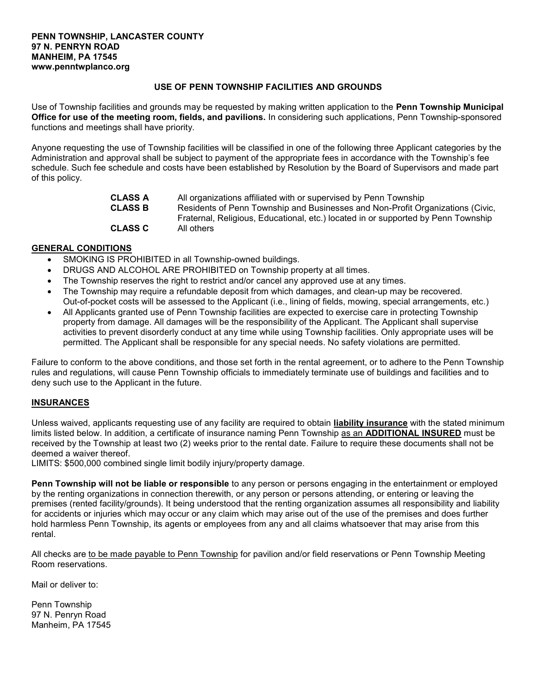### PENN TOWNSHIP, LANCASTER COUNTY 97 N. PENRYN ROAD MANHEIM, PA 17545 www.penntwplanco.org

# USE OF PENN TOWNSHIP FACILITIES AND GROUNDS

Use of Township facilities and grounds may be requested by making written application to the Penn Township Municipal Office for use of the meeting room, fields, and pavilions. In considering such applications, Penn Township-sponsored functions and meetings shall have priority.

Anyone requesting the use of Township facilities will be classified in one of the following three Applicant categories by the Administration and approval shall be subject to payment of the appropriate fees in accordance with the Township's fee schedule. Such fee schedule and costs have been established by Resolution by the Board of Supervisors and made part of this policy.

| <b>CLASS A</b> | All organizations affiliated with or supervised by Penn Township                  |
|----------------|-----------------------------------------------------------------------------------|
| <b>CLASS B</b> | Residents of Penn Township and Businesses and Non-Profit Organizations (Civic,    |
|                | Fraternal, Religious, Educational, etc.) located in or supported by Penn Township |
| <b>CLASS C</b> | All others                                                                        |

# GENERAL CONDITIONS

- SMOKING IS PROHIBITED in all Township-owned buildings.
- DRUGS AND ALCOHOL ARE PROHIBITED on Township property at all times.
- The Township reserves the right to restrict and/or cancel any approved use at any times.
- The Township may require a refundable deposit from which damages, and clean-up may be recovered. Out-of-pocket costs will be assessed to the Applicant (i.e., lining of fields, mowing, special arrangements, etc.)
- All Applicants granted use of Penn Township facilities are expected to exercise care in protecting Township property from damage. All damages will be the responsibility of the Applicant. The Applicant shall supervise activities to prevent disorderly conduct at any time while using Township facilities. Only appropriate uses will be permitted. The Applicant shall be responsible for any special needs. No safety violations are permitted.

Failure to conform to the above conditions, and those set forth in the rental agreement, or to adhere to the Penn Township rules and regulations, will cause Penn Township officials to immediately terminate use of buildings and facilities and to deny such use to the Applicant in the future.

### INSURANCES

Unless waived, applicants requesting use of any facility are required to obtain **liability insurance** with the stated minimum limits listed below. In addition, a certificate of insurance naming Penn Township as an ADDITIONAL INSURED must be received by the Township at least two (2) weeks prior to the rental date. Failure to require these documents shall not be deemed a waiver thereof.

LIMITS: \$500,000 combined single limit bodily injury/property damage.

Penn Township will not be liable or responsible to any person or persons engaging in the entertainment or employed by the renting organizations in connection therewith, or any person or persons attending, or entering or leaving the premises (rented facility/grounds). It being understood that the renting organization assumes all responsibility and liability for accidents or injuries which may occur or any claim which may arise out of the use of the premises and does further hold harmless Penn Township, its agents or employees from any and all claims whatsoever that may arise from this rental.

All checks are to be made payable to Penn Township for pavilion and/or field reservations or Penn Township Meeting Room reservations.

Mail or deliver to:

Penn Township 97 N. Penryn Road Manheim, PA 17545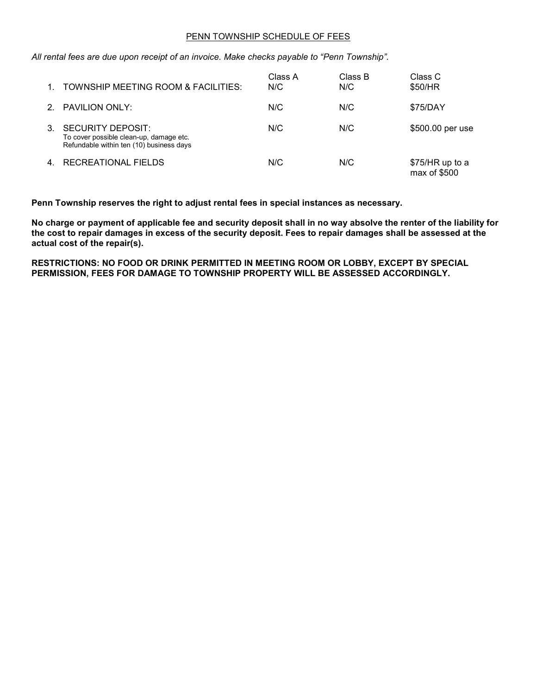### PENN TOWNSHIP SCHEDULE OF FEES

All rental fees are due upon receipt of an invoice. Make checks payable to "Penn Township".

| TOWNSHIP MEETING ROOM & FACILITIES:                                                                             | Class A<br>N/C | Class B<br>N/C | Class C<br>\$50/HR              |
|-----------------------------------------------------------------------------------------------------------------|----------------|----------------|---------------------------------|
| <b>PAVILION ONLY:</b>                                                                                           | N/C            | N/C            | \$75/DAY                        |
| <b>SECURITY DEPOSIT:</b><br>To cover possible clean-up, damage etc.<br>Refundable within ten (10) business days | N/C            | N/C            | \$500.00 per use                |
| RECREATIONAL FIELDS                                                                                             | N/C            | N/C            | \$75/HR up to a<br>max of \$500 |

Penn Township reserves the right to adjust rental fees in special instances as necessary.

No charge or payment of applicable fee and security deposit shall in no way absolve the renter of the liability for the cost to repair damages in excess of the security deposit. Fees to repair damages shall be assessed at the actual cost of the repair(s).

RESTRICTIONS: NO FOOD OR DRINK PERMITTED IN MEETING ROOM OR LOBBY, EXCEPT BY SPECIAL PERMISSION, FEES FOR DAMAGE TO TOWNSHIP PROPERTY WILL BE ASSESSED ACCORDINGLY.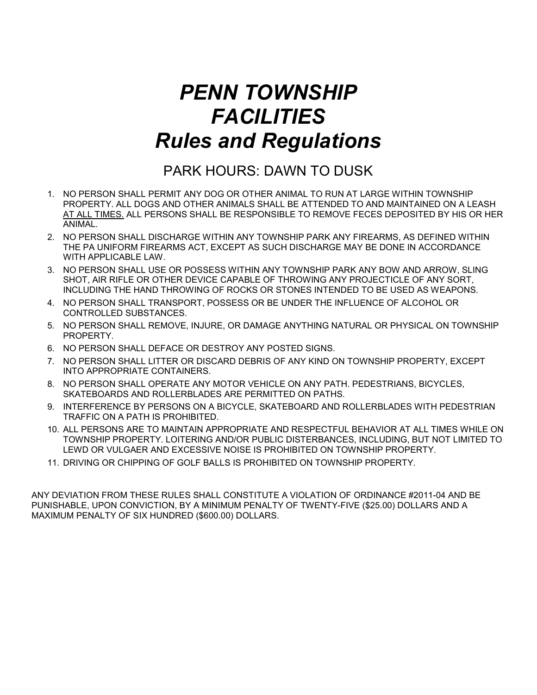# PENN TOWNSHIP **FACILITIES** Rules and Regulations

# PARK HOURS: DAWN TO DUSK

- 1. NO PERSON SHALL PERMIT ANY DOG OR OTHER ANIMAL TO RUN AT LARGE WITHIN TOWNSHIP PROPERTY. ALL DOGS AND OTHER ANIMALS SHALL BE ATTENDED TO AND MAINTAINED ON A LEASH AT ALL TIMES. ALL PERSONS SHALL BE RESPONSIBLE TO REMOVE FECES DEPOSITED BY HIS OR HER ANIMAL.
- 2. NO PERSON SHALL DISCHARGE WITHIN ANY TOWNSHIP PARK ANY FIREARMS, AS DEFINED WITHIN THE PA UNIFORM FIREARMS ACT, EXCEPT AS SUCH DISCHARGE MAY BE DONE IN ACCORDANCE WITH APPLICABLE LAW.
- 3. NO PERSON SHALL USE OR POSSESS WITHIN ANY TOWNSHIP PARK ANY BOW AND ARROW, SLING SHOT, AIR RIFLE OR OTHER DEVICE CAPABLE OF THROWING ANY PROJECTICLE OF ANY SORT, INCLUDING THE HAND THROWING OF ROCKS OR STONES INTENDED TO BE USED AS WEAPONS.
- 4. NO PERSON SHALL TRANSPORT, POSSESS OR BE UNDER THE INFLUENCE OF ALCOHOL OR CONTROLLED SUBSTANCES.
- 5. NO PERSON SHALL REMOVE, INJURE, OR DAMAGE ANYTHING NATURAL OR PHYSICAL ON TOWNSHIP PROPERTY.
- 6. NO PERSON SHALL DEFACE OR DESTROY ANY POSTED SIGNS.
- 7. NO PERSON SHALL LITTER OR DISCARD DEBRIS OF ANY KIND ON TOWNSHIP PROPERTY, EXCEPT INTO APPROPRIATE CONTAINERS.
- 8. NO PERSON SHALL OPERATE ANY MOTOR VEHICLE ON ANY PATH. PEDESTRIANS, BICYCLES, SKATEBOARDS AND ROLLERBLADES ARE PERMITTED ON PATHS.
- 9. INTERFERENCE BY PERSONS ON A BICYCLE, SKATEBOARD AND ROLLERBLADES WITH PEDESTRIAN TRAFFIC ON A PATH IS PROHIBITED.
- 10. ALL PERSONS ARE TO MAINTAIN APPROPRIATE AND RESPECTFUL BEHAVIOR AT ALL TIMES WHILE ON TOWNSHIP PROPERTY. LOITERING AND/OR PUBLIC DISTERBANCES, INCLUDING, BUT NOT LIMITED TO LEWD OR VULGAER AND EXCESSIVE NOISE IS PROHIBITED ON TOWNSHIP PROPERTY.
- 11. DRIVING OR CHIPPING OF GOLF BALLS IS PROHIBITED ON TOWNSHIP PROPERTY.

ANY DEVIATION FROM THESE RULES SHALL CONSTITUTE A VIOLATION OF ORDINANCE #2011-04 AND BE PUNISHABLE, UPON CONVICTION, BY A MINIMUM PENALTY OF TWENTY-FIVE (\$25.00) DOLLARS AND A MAXIMUM PENALTY OF SIX HUNDRED (\$600.00) DOLLARS.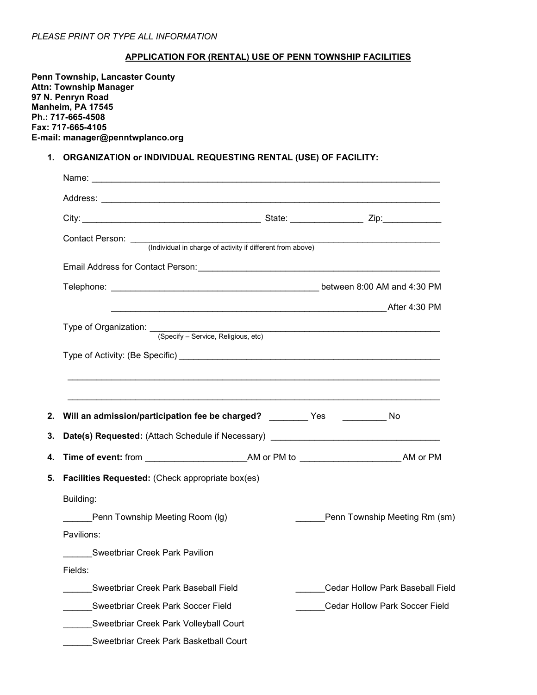### PLEASE PRINT OR TYPE ALL INFORMATION

### APPLICATION FOR (RENTAL) USE OF PENN TOWNSHIP FACILITIES

Penn Township, Lancaster County Attn: Township Manager 97 N. Penryn Road Manheim, PA 17545 Ph.: 717-665-4508 Fax: 717-665-4105 E-mail: manager@penntwplanco.org

# 1. ORGANIZATION or INDIVIDUAL REQUESTING RENTAL (USE) OF FACILITY:

| Contact Person: <u>(Individual in charge of activity if different from above)</u> |                                         |
|-----------------------------------------------------------------------------------|-----------------------------------------|
|                                                                                   |                                         |
|                                                                                   |                                         |
|                                                                                   |                                         |
| Type of Organization: <u>(Specify - Service, Religious, etc)</u>                  |                                         |
|                                                                                   |                                         |
|                                                                                   |                                         |
| Will an admission/participation fee be charged? ________ Yes __________ No        |                                         |
| Date(s) Requested: (Attach Schedule if Necessary) ______________________________  |                                         |
|                                                                                   |                                         |
| Facilities Requested: (Check appropriate box(es)                                  |                                         |
| Building:                                                                         |                                         |
| Penn Township Meeting Room (lg)                                                   | Penn Township Meeting Rm (sm)           |
| Pavilions:                                                                        |                                         |
| Sweetbriar Creek Park Pavilion                                                    |                                         |
| Fields:                                                                           |                                         |
| Sweetbriar Creek Park Baseball Field                                              | <b>Cedar Hollow Park Baseball Field</b> |
| Sweetbriar Creek Park Soccer Field                                                | <b>Cedar Hollow Park Soccer Field</b>   |
| Sweetbriar Creek Park Volleyball Court                                            |                                         |
| Sweetbriar Creek Park Basketball Court                                            |                                         |